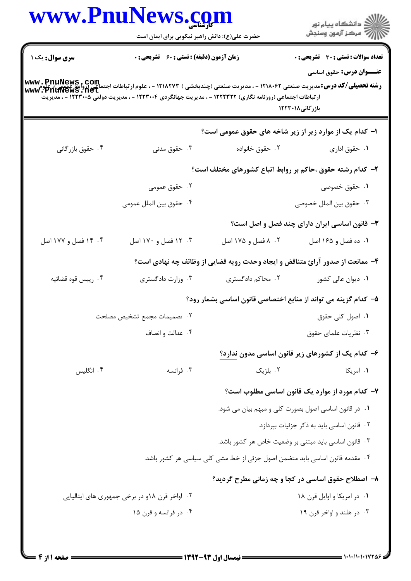## V

|                        | www.PnuNews.com<br>حضرت علی(ع): دانش راهبر نیکویی برای ایمان است                                                                                                                                                                                                      |                                                                             | ڪ دانشڪاه پيام نور<br>//> مرڪز آزمون وسنجش                                      |
|------------------------|-----------------------------------------------------------------------------------------------------------------------------------------------------------------------------------------------------------------------------------------------------------------------|-----------------------------------------------------------------------------|---------------------------------------------------------------------------------|
| <b>سری سوال :</b> یک ۱ | <b>زمان آزمون (دقیقه) : تستی : 60 ٪ تشریحی : 0</b>                                                                                                                                                                                                                    |                                                                             | <b>تعداد سوالات : تستی : 30 ٪ تشریحی : 0</b><br><b>عنـــوان درس:</b> حقوق اساسي |
|                        | <b>رشته تحصیلی/کد درس:</b> مدیریت صنعتی ۱۲۱۸۰۶۲ - ، مدیریت صنعتی (چندبخشی ) ۱۲۱۸۲۷۳ - ، علوم ارتباطات اجتماعی (روابط عمومی)، علوم<br>WWW . PnuNews . net<br>ار تباطات اجتماعی (روزنامه نگاری) ۱۲۲۲۳۲۲ - ، مدیریت جهانگردی ۱۲۲۳۰۰۴ - ، مدیریت دولتی ۱۲۲۳۰۰۵ - ، مدیریت |                                                                             | بازرگانی۱۲۲۳۰۱۸                                                                 |
|                        |                                                                                                                                                                                                                                                                       |                                                                             | ۱– کدام یک از موارد زیر از زیر شاخه های حقوق عمومی است؟                         |
| ۰۴ حقوق بازرگانی       | ۰۳ حقوق مدنی                                                                                                                                                                                                                                                          | ۰۲ حقوق خانواده                                                             | ۰۱ حقوق اداری                                                                   |
|                        |                                                                                                                                                                                                                                                                       |                                                                             | ۲- کدام رشته حقوق ،حاکم بر روابط اتباع کشورهای مختلف است؟                       |
|                        | ۰۲ حقوق عمومی                                                                                                                                                                                                                                                         |                                                                             | ۰۱ حقوق خصوصی                                                                   |
|                        | ۰۴ حقوق بين الملل عمومي                                                                                                                                                                                                                                               |                                                                             | ۰۳ حقوق بين الملل خصوصي                                                         |
|                        |                                                                                                                                                                                                                                                                       |                                                                             | ۳- قانون اساسی ایران دارای چند فصل و اصل است؟                                   |
| ۰۴ آفصل و ۱۷۷ اصل      | ۰۳ . ۱۲ فصل و ۱۷۰ اصل                                                                                                                                                                                                                                                 | ۰۲ ۸ فصل و ۱۷۵ اصل                                                          | ۰۱ ده فصل و ۱۶۵ اصل                                                             |
|                        |                                                                                                                                                                                                                                                                       |                                                                             | ۴- ممانعت از صدور آرائ متناقض و ایجاد وحدت رویه قضایی از وظائف چه نهادی است؟    |
| ۰۴ رييس قوه قضائيه     | ۰۳ وزارت دادگستری                                                                                                                                                                                                                                                     | ۰۲ محاکم دادگستری                                                           | ۰۱ دیوان عالی کشور                                                              |
|                        |                                                                                                                                                                                                                                                                       |                                                                             | ۵– کدام گزینه می تواند از منابع اختصاصی قانون اساسی بشمار رود؟                  |
|                        | ٠٢ تصميمات مجمع تشخيص مصلحت                                                                                                                                                                                                                                           |                                                                             | ۰۱ اصول کلی حقوق                                                                |
|                        | ۰۴ عدالت و انصاف                                                                                                                                                                                                                                                      |                                                                             | ۰۳ نظریات علمای حقوق                                                            |
|                        |                                                                                                                                                                                                                                                                       |                                                                             | ۶– کدام یک از کشورهای زیر قانون اساسی مدون ندارد؟                               |
| ۰۴ انگلیس              | ۰۳ فرانسه                                                                                                                                                                                                                                                             | ۰۲ بلژیک                                                                    | ۰۱ امریکا                                                                       |
|                        |                                                                                                                                                                                                                                                                       |                                                                             | ۷- کدام مورد از موارد یک قانون اساسی مطلوب است؟                                 |
|                        |                                                                                                                                                                                                                                                                       |                                                                             | ۰۱ در قانون اساسی اصول بصورت کلی و مبهم بیان می شود.                            |
|                        |                                                                                                                                                                                                                                                                       |                                                                             | ۰۲ قانون اساسی باید به ذکر جزئیات بپردازد.                                      |
|                        |                                                                                                                                                                                                                                                                       |                                                                             | ۰۳ قانون اساسی باید مبتنی بر وضعیت خاص هر کشور باشد.                            |
|                        |                                                                                                                                                                                                                                                                       | ۰۴ مقدمه قانون اساسی باید متضمن اصول جزئی از خط مشی کلی سیاسی هر کشور باشد. |                                                                                 |
|                        |                                                                                                                                                                                                                                                                       |                                                                             | ۸- اصطلاح حقوق اساسی در کجا و چه زمانی مطرح گردید؟                              |
|                        | ۰۲ اواخر قرن ۱۸و در برخی جمهوری های ایتالیایی                                                                                                                                                                                                                         |                                                                             | ٠١ در امريكا و اوايل قرن ١٨                                                     |
|                        |                                                                                                                                                                                                                                                                       |                                                                             |                                                                                 |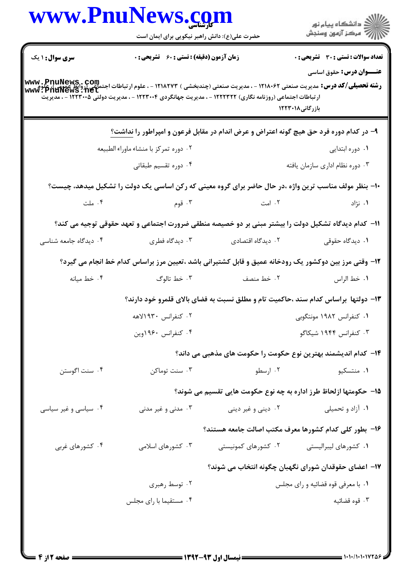|                        | www.PnuNews.com                               |                                                                                                           |                                                                                                                                                                                                                       |
|------------------------|-----------------------------------------------|-----------------------------------------------------------------------------------------------------------|-----------------------------------------------------------------------------------------------------------------------------------------------------------------------------------------------------------------------|
|                        | حضرت علی(ع): دانش راهبر نیکویی برای ایمان است |                                                                                                           |                                                                                                                                                                                                                       |
| <b>سری سوال : ۱ یک</b> | زمان آزمون (دقیقه) : تستی : ۶۰٪ تشریحی : ۰    |                                                                                                           | <b>تعداد سوالات : تستی : 30 ٪ تشریحی : 0</b>                                                                                                                                                                          |
|                        |                                               | ار تباطات اجتماعی (روزنامه نگاری) ۱۲۲۲۳۲۲ - ، مدیریت جهانگردی ۱۲۲۳۰۰۴ - ، مدیریت دولتی ۱۲۲۳۰۰۵ - ، مدیریت | <b>عنـــوان درس:</b> حقوق اساسی<br><b>رشته تحصیلی/کد درس:</b> مدیریت صنعتی ۱۲۱۸۰۶۲ - ، مدیریت صنعتی (چندبخشی ) ۱۲۱۸۲۷۳ - ، علوم ارتباطات اجتماعی (روابط عمومی)، علوم<br><b>www : PnuNews . net</b><br>بازرگانی۱۲۲۳۰۱۸ |
|                        |                                               |                                                                                                           | ۹- در کدام دوره فرد حق هیچ گونه اعتراض و عرض اندام در مقابل فرعون و امپراطور را <u>نداشت؟</u>                                                                                                                         |
|                        | ۰۲ دوره تمرکز با منشاء ماوراء الطبیعه         |                                                                                                           | ۰۱ دوره ابتدایی                                                                                                                                                                                                       |
|                        | ۰۴ دوره تقسیم طبقاتی                          |                                                                                                           | ٠٣ دوره نظام ادارى سازمان يافته                                                                                                                                                                                       |
|                        |                                               |                                                                                                           | ۱۰– بنظر مولف مناسب ترین واژه ،در حال حاضر برای گروه معینی که رکن اساسی یک دولت را تشکیل میدهد، چیست؟                                                                                                                 |
| ۰۴ ملت                 | ۰۳ قوم                                        | ۰۲ امت                                                                                                    | ۰۱ نژاد                                                                                                                                                                                                               |
|                        |                                               |                                                                                                           | 11– کدام دیدگاه تشکیل دولت را بیشتر مبنی بر دو خصیصه منطقی ضرورت اجتماعی و تعهد حقوقی توجیه می کند؟                                                                                                                   |
| ۰۴ دیدگاه جامعه شناسی  | ۰۳ دیدگاه فطری                                | ۰۲ دیدگاه اقتصادی                                                                                         | ۰۱ دیدگاه حقوقی                                                                                                                                                                                                       |
|                        |                                               |                                                                                                           | ۱۲- وقتی مرز بین دوکشور یک رودخانه عمیق و قابل کشتیرانی باشد ،تعیین مرز براساس کدام خط انجام می گیرد؟                                                                                                                 |
| ۰۴ خط میانه            | ۰۳ خط تالوگ                                   | ۰۲ خط منصف                                                                                                | ٠١ خط الراس                                                                                                                                                                                                           |
|                        |                                               |                                                                                                           | ۱۳- دولتها ًبراساس کدام سند ،حاکمیت تام و مطلق نسبت به فضای بالای قلمرو خود دارند؟                                                                                                                                    |
|                        | ۰۲ کنفرانس ۱۹۳۰لاهه                           |                                                                                                           | ۱. کنفرانس ۱۹۸۲ مونتگوبی                                                                                                                                                                                              |
|                        | ۰۴ کنفرانس ۱۹۶۰وین                            |                                                                                                           | ۰۳ کنفرانس ۱۹۴۴ شیکاگو                                                                                                                                                                                                |
|                        |                                               |                                                                                                           | ۱۴– کدام اندیشمند بهترین نوع حکومت را حکومت های مذهبی می داند؟                                                                                                                                                        |
| ۰۴ سنت اگوستن          | سنت توماكن $\cdot$                            | ۰۲ ارسطو                                                                                                  | ۰۱ منتسکیو                                                                                                                                                                                                            |
|                        |                                               |                                                                                                           | 1۵– حکومتها ازلحاظ طرز اداره به چه نوع حکومت هایی تقسیم می شوند؟                                                                                                                                                      |
| ۰۴ سیاسی و غیر سیاسی   | ۰۳ مدنی و غیر مدنی                            | ۰۲ دینی و غیر دینی                                                                                        | ۰۱ آزاد و تحمیلی                                                                                                                                                                                                      |
|                        |                                               |                                                                                                           | ۱۶– بطور کلی کدام کشورها معرف مکتب اصالت جامعه هستند؟                                                                                                                                                                 |
| ۰۴ کشورهای غربی        | ۰۳ کشورهای اسلامی                             | ۰۲ کشورهای کمونیستی                                                                                       | ۰۱ کشورهای لیبرالیستی                                                                                                                                                                                                 |
|                        |                                               |                                                                                                           | ۱۷– اعضای حقوقدان شورای نگهبان چگونه انتخاب می شوند؟                                                                                                                                                                  |
|                        | ۰۲ توسط رهبری                                 |                                                                                                           | ۰۱ با معرفی قوه قضائیه و رای مجلس                                                                                                                                                                                     |
|                        | ۰۴ مستقیما با رای مجلس                        |                                                                                                           | ۰۳ قوه قضائيه                                                                                                                                                                                                         |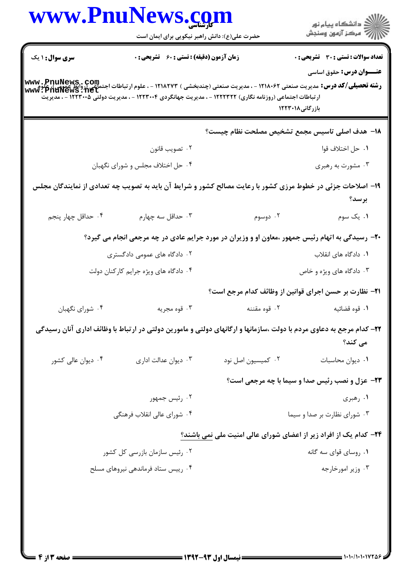| www.PnuNews.com        |                                                                                                                                                                                                                                                                              |                                                                   | ر<br>دانشڪاه پيام نور)<br>ا∛ مرڪز آزمون وسنڊش          |  |  |
|------------------------|------------------------------------------------------------------------------------------------------------------------------------------------------------------------------------------------------------------------------------------------------------------------------|-------------------------------------------------------------------|--------------------------------------------------------|--|--|
|                        | حضرت علی(ع): دانش راهبر نیکویی برای ایمان است                                                                                                                                                                                                                                |                                                                   |                                                        |  |  |
| <b>سری سوال : ۱ یک</b> | <b>زمان آزمون (دقیقه) : تستی : 60 گشریحی : 0</b>                                                                                                                                                                                                                             |                                                                   | <b>تعداد سوالات : تستی : 30 ٪ تشریحی : 0</b>           |  |  |
|                        |                                                                                                                                                                                                                                                                              |                                                                   | <b>عنـــوان درس:</b> حقوق اساسی                        |  |  |
|                        | <b>رشته تحصیلی/کد درس:</b> مدیریت صنعتی ۱۲۱۸۰۶۲ - ، مدیریت صنعتی (چندبخشی ) ۱۲۱۸۲۷۳ - ، علوم ارتباطات اجتماعی (روابط عمومی)، علوم<br><b>www : PnuNews . net</b><br>ار تباطات اجتماعی (روزنامه نگاری) ۱۲۲۲۳۲۲ - ، مدیریت جهانگردی ۱۲۲۳۰۰۴ - ، مدیریت دولتی ۱۲۲۳۰۰۵ - ، مدیریت |                                                                   |                                                        |  |  |
|                        |                                                                                                                                                                                                                                                                              |                                                                   | بازرگانی۱۲۲۳۰۱۸                                        |  |  |
|                        |                                                                                                                                                                                                                                                                              | 1۸– هدف اصلی تاسیس مجمع تشخیص مصلحت نظام چیست؟                    |                                                        |  |  |
|                        | ۰۲ تصويب قانون                                                                                                                                                                                                                                                               |                                                                   | ٠١. حل اختلاف قوا                                      |  |  |
|                        | ۰۴ حل اختلاف مجلس و شورای نگهبان                                                                                                                                                                                                                                             |                                                                   | ۰۳ مشورت به رهبری                                      |  |  |
|                        | ۱۹- اصلاحات جزئی در خطوط مرزی کشور با رعایت مصالح کشور و شرایط آن باید به تصویب چه تعدادی از نمایندگان مجلس                                                                                                                                                                  |                                                                   |                                                        |  |  |
|                        |                                                                                                                                                                                                                                                                              |                                                                   | برسد؟                                                  |  |  |
| ۰۴ حداقل چهار پنجم     | ۰۳ حداقل سه چهارم                                                                                                                                                                                                                                                            | ۰۲ دوسوم                                                          | ۰۱ یک سوم                                              |  |  |
|                        | +۲- رسیدگی به اتهام رئیس جمهور ،معاون او و وزیران در مورد جرایم عادی در چه مرجعی انجام می گیرد؟                                                                                                                                                                              |                                                                   |                                                        |  |  |
|                        | ۰۲ دادگاه های عمومی دادگستری                                                                                                                                                                                                                                                 |                                                                   | ٠١. دادگاه های انقلاب                                  |  |  |
|                        | ۰۴ دادگاه های ویژه جرایم کارکنان دولت                                                                                                                                                                                                                                        |                                                                   | ۰۳ دادگاه های ویژه و خاص                               |  |  |
|                        |                                                                                                                                                                                                                                                                              | <b>۲۱</b> - نظارت بر حسن اجرای قوانین از وظائف کدام مرجع است؟     |                                                        |  |  |
| ۰۴ شورای نگهبان        | ۰۳ قوه مجريه                                                                                                                                                                                                                                                                 | ۰۲ قوه مقننه                                                      | ٠١ قوه قضائيه                                          |  |  |
|                        | ۲۲– کدام مرجع به دعاوی مردم با دولت ،سازمانها و ارگانهای دولتی و مامورین دولتی در ارتباط با وظائف اداری آنان رسیدگی                                                                                                                                                          |                                                                   | می کند؟                                                |  |  |
| ۰۴ دیوان عالی کشور     | ۰۳ دیوان عدالت اداری                                                                                                                                                                                                                                                         | ٠٢ كميسيون اصل نود                                                | ٠١ ديوان محاسبات                                       |  |  |
|                        |                                                                                                                                                                                                                                                                              |                                                                   | <b>33- عزل و نصب رئیس صدا و سیما با چه مرجعی است</b> ؟ |  |  |
|                        | ۰۲ رئیس جمهور                                                                                                                                                                                                                                                                |                                                                   | ۰۱ رهبری                                               |  |  |
|                        | ۰۴ شورای عالی انقلاب فرهنگی                                                                                                                                                                                                                                                  | ۰۳ شورای نظارت بر صدا و سیما                                      |                                                        |  |  |
|                        |                                                                                                                                                                                                                                                                              | ۲۴- کدام یک از افراد زیر از اعضای شورای عالی امنیت ملی نمی باشند؟ |                                                        |  |  |
|                        | ۰۲ رئیس سازمان بازرسی کل کشور                                                                                                                                                                                                                                                |                                                                   | ۰۱ روسای قوای سه گانه                                  |  |  |
|                        | ۰۴ رییس ستاد فرماندهی نیروهای مسلح                                                                                                                                                                                                                                           |                                                                   | ۰۳ وزير امورخارجه                                      |  |  |